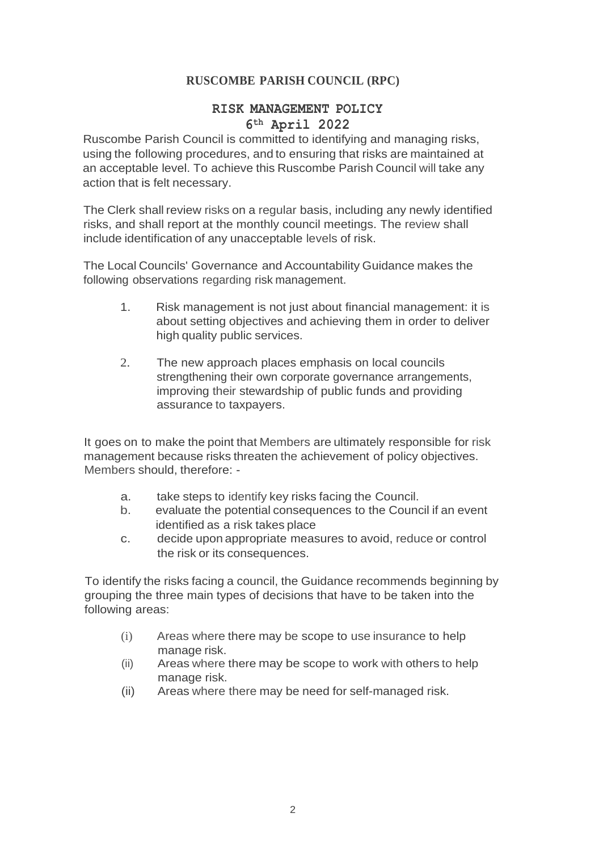# **RUSCOMBE PARISH COUNCIL (RPC)**

# **RISK MANAGEMENT POLICY**

# **6th April 2022**

Ruscombe Parish Council is committed to identifying and managing risks, using the following procedures, and to ensuring that risks are maintained at an acceptable level. To achieve this Ruscombe Parish Council will take any action that is felt necessary.

The Clerk shall review risks on a regular basis, including any newly identified risks, and shall report at the monthly council meetings. The review shall include identification of any unacceptable levels of risk.

The Local Councils' Governance and Accountability Guidance makes the following observations regarding risk management.

- 1. Risk management is not just about financial management: it is about setting objectives and achieving them in order to deliver high quality public services.
- 2. The new approach places emphasis on local councils strengthening their own corporate governance arrangements, improving their stewardship of public funds and providing assurance to taxpayers.

It goes on to make the point that Members are ultimately responsible for risk management because risks threaten the achievement of policy objectives. Members should, therefore: -

- a. take steps to identify key risks facing the Council.
- b. evaluate the potential consequences to the Council if an event identified as a risk takes place
- c. decide upon appropriate measures to avoid, reduce or control the risk or its consequences.

To identify the risks facing a council, the Guidance recommends beginning by grouping the three main types of decisions that have to be taken into the following areas:

- (i) Areas where there may be scope to use insurance to help manage risk.
- (ii) Areas where there may be scope to work with others to help manage risk.
- (ii) Areas where there may be need for self-managed risk.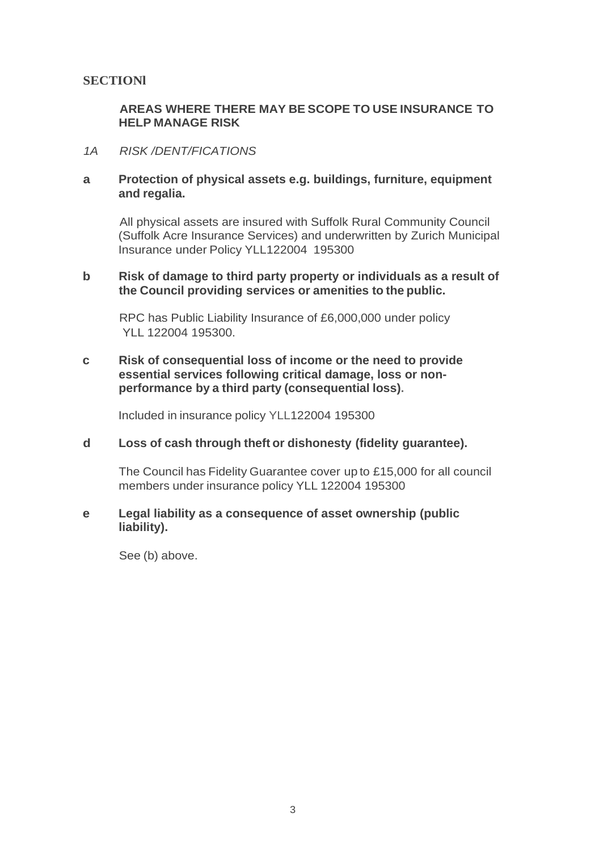## **SECTIONl**

## **AREAS WHERE THERE MAY BE SCOPE TO USE INSURANCE TO HELP MANAGE RISK**

#### *1A RISK /DENT/FICATIONS*

### **a Protection of physical assets e.g. buildings, furniture, equipment and regalia.**

All physical assets are insured with Suffolk Rural Community Council (Suffolk Acre Insurance Services) and underwritten by Zurich Municipal Insurance under Policy YLL122004 195300

#### **b Risk of damage to third party property or individuals as a result of the Council providing services or amenities to the public.**

RPC has Public Liability Insurance of £6,000,000 under policy YLL 122004 195300

### **c Risk of consequential loss of income or the need to provide essential services following critical damage, loss or nonperformance by a third party (consequential loss).**

Included in insurance policy YLL122004 195300

#### **d Loss of cash through theft or dishonesty (fidelity guarantee).**

The Council has Fidelity Guarantee cover up to £15,000 for all council members under insurance policy YLL 122004 195300

#### **e Legal liability as a consequence of asset ownership (public liability).**

See (b) above.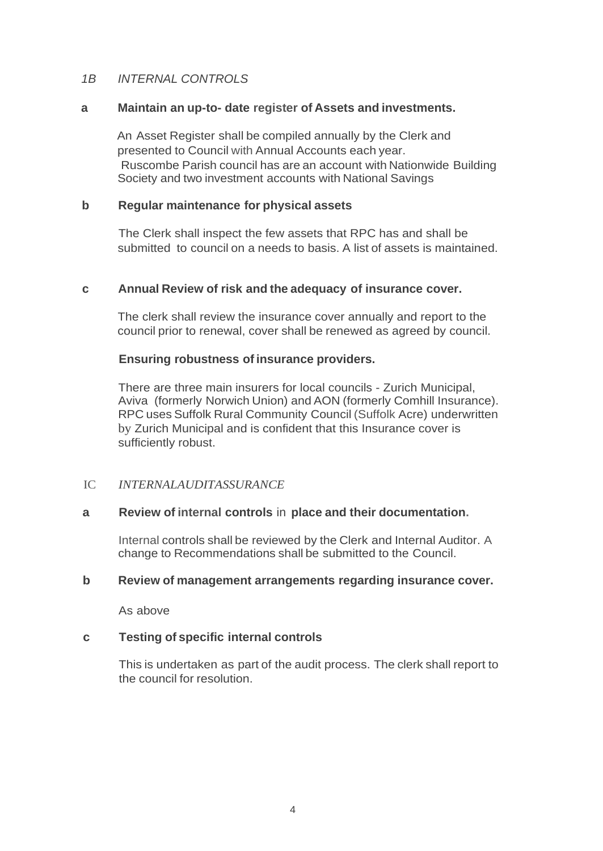## *1B INTERNAL CONTROLS*

#### **a Maintain an up-to- date register of Assets and investments.**

An Asset Register shall be compiled annually by the Clerk and presented to Council with Annual Accounts each year. Ruscombe Parish council has are an account with Nationwide Building Society and two investment accounts with National Savings

### **b Regular maintenance for physical assets**

The Clerk shall inspect the few assets that RPC has and shall be submitted to council on a needs to basis. A list of assets is maintained.

#### **c Annual Review of risk and the adequacy of insurance cover.**

The clerk shall review the insurance cover annually and report to the council prior to renewal, cover shall be renewed as agreed by council.

#### **Ensuring robustness of insurance providers.**

There are three main insurers for local councils - Zurich Municipal, Aviva (formerly Norwich Union) and AON (formerly Comhill Insurance). RPC uses Suffolk Rural Community Council (Suffolk Acre) underwritten by Zurich Municipal and is confident that this Insurance cover is sufficiently robust.

## IC *INTERNALAUDITASSURANCE*

## **a Review of internal controls** in **place and their documentation.**

Internal controls shall be reviewed by the Clerk and Internal Auditor. A change to Recommendations shall be submitted to the Council.

#### **b Review of management arrangements regarding insurance cover.**

As above

## **c Testing of specific internal controls**

This is undertaken as part of the audit process. The clerk shall report to the council for resolution.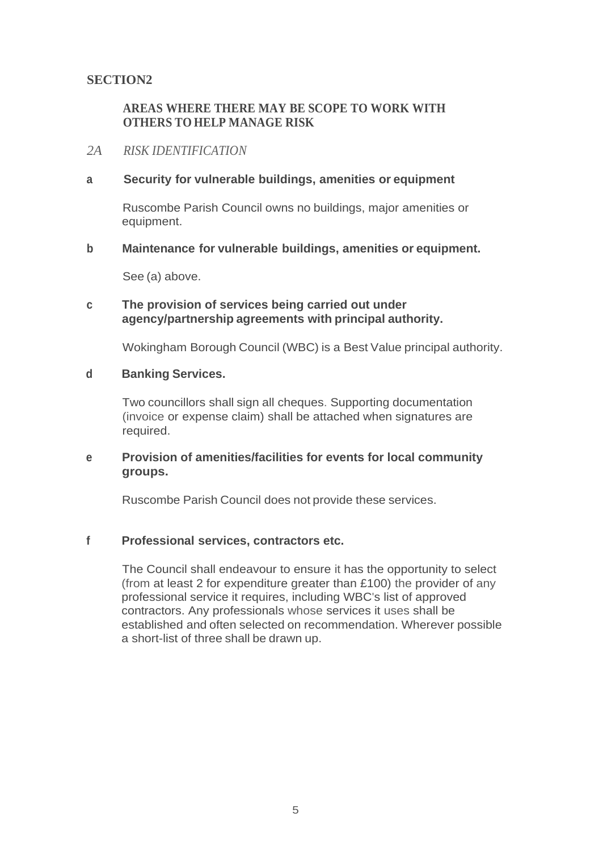# **SECTION2**

## **AREAS WHERE THERE MAY BE SCOPE TO WORK WITH OTHERS TO HELP MANAGE RISK**

### *2A RISK IDENTIFICATION*

### **a Security for vulnerable buildings, amenities or equipment**

Ruscombe Parish Council owns no buildings, major amenities or equipment.

#### **b Maintenance for vulnerable buildings, amenities or equipment.**

See (a) above.

## **c The provision of services being carried out under agency/partnership agreements with principal authority.**

Wokingham Borough Council (WBC) is a Best Value principal authority.

#### **d Banking Services.**

Two councillors shall sign all cheques. Supporting documentation (invoice or expense claim) shall be attached when signatures are required.

#### **e Provision of amenities/facilities for events for local community groups.**

Ruscombe Parish Council does not provide these services.

## **f Professional services, contractors etc.**

The Council shall endeavour to ensure it has the opportunity to select (from at least 2 for expenditure greater than £100) the provider of any professional service it requires, including WBC's list of approved contractors. Any professionals whose services it uses shall be established and often selected on recommendation. Wherever possible a short-list of three shall be drawn up.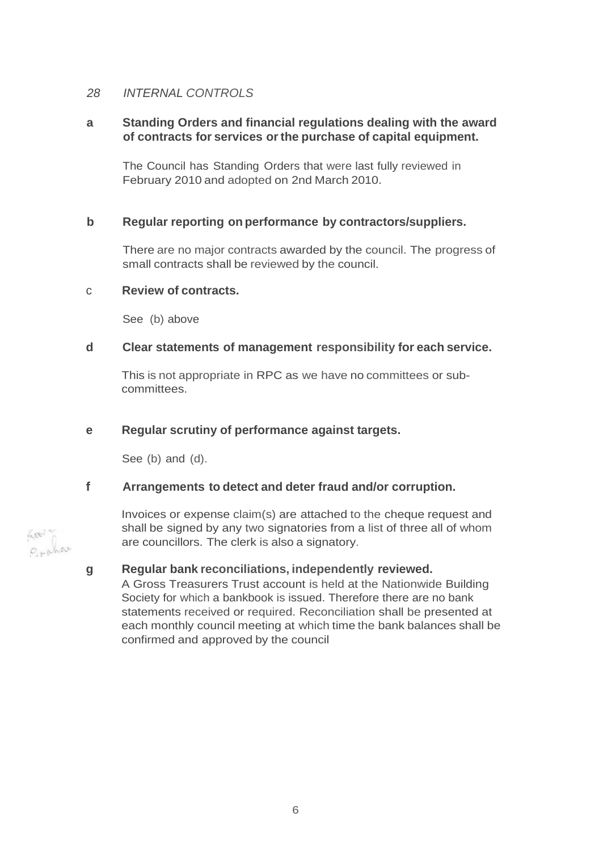## *28 INTERNAL CONTROLS*

## **a Standing Orders and financial regulations dealing with the award of contracts for services orthe purchase of capital equipment.**

The Council has Standing Orders that were last fully reviewed in February 2010 and adopted on 2nd March 2010.

## **b Regular reporting on performance by contractors/suppliers.**

There are no major contracts awarded by the council. The progress of small contracts shall be reviewed by the council.

#### c **Review of contracts.**

See (b) above

#### **d Clear statements of management responsibility for each service.**

This is not appropriate in RPC as we have no committees or subcommittees.

#### **e Regular scrutiny of performance against targets.**

See (b) and (d).

## **f Arrangements to detect and deter fraud and/or corruption.**

Invoices or expense claim(s) are attached to the cheque request and shall be signed by any two signatories from a list of three all of whom are councillors. The clerk is also a signatory.

#### **g Regular bank reconciliations, independently reviewed.**

A Gross Treasurers Trust account is held at the Nationwide Building Society for which a bankbook is issued. Therefore there are no bank statements received or required. Reconciliation shall be presented at each monthly council meeting at which time the bank balances shall be confirmed and approved by the council

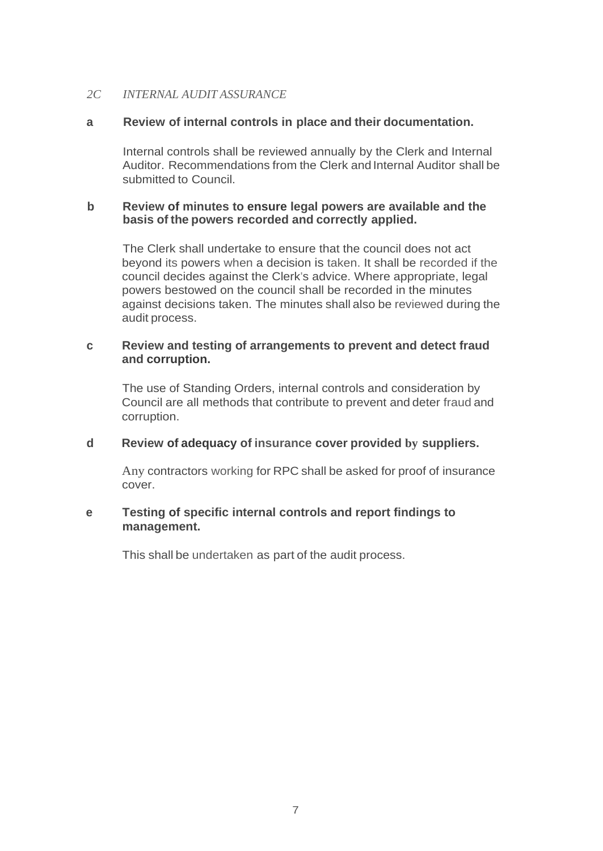## *2C INTERNAL AUDIT ASSURANCE*

## **a Review of internal controls in place and their documentation.**

Internal controls shall be reviewed annually by the Clerk and Internal Auditor. Recommendations from the Clerk and Internal Auditor shall be submitted to Council.

### **b Review of minutes to ensure legal powers are available and the basis of the powers recorded and correctly applied.**

The Clerk shall undertake to ensure that the council does not act beyond its powers when a decision is taken. It shall be recorded if the council decides against the Clerk's advice. Where appropriate, legal powers bestowed on the council shall be recorded in the minutes against decisions taken. The minutes shall also be reviewed during the audit process.

## **c Review and testing of arrangements to prevent and detect fraud and corruption.**

The use of Standing Orders, internal controls and consideration by Council are all methods that contribute to prevent and deter fraud and corruption.

## **d Review of adequacy of insurance cover provided by suppliers.**

Any contractors working for RPC shall be asked for proof of insurance cover.

## **e Testing of specific internal controls and report findings to management.**

This shall be undertaken as part of the audit process.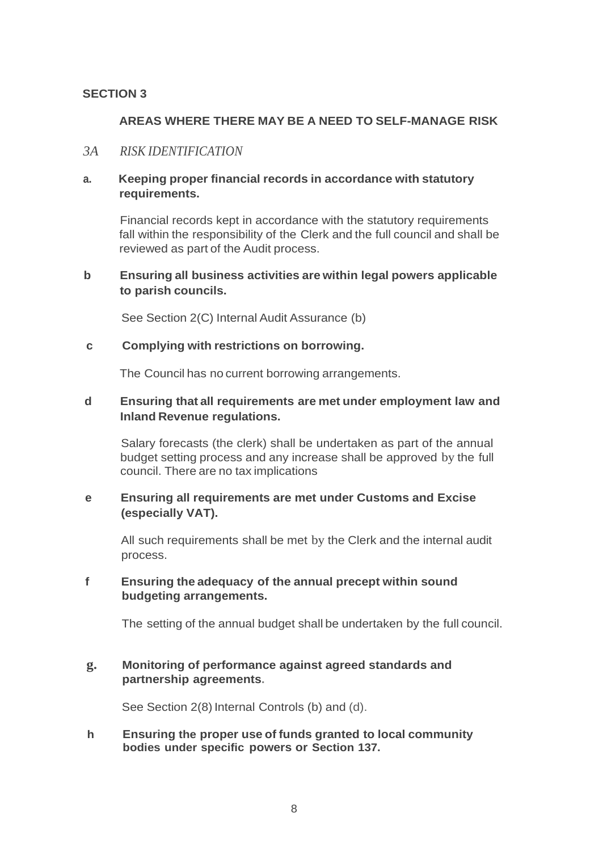#### **SECTION 3**

### **AREAS WHERE THERE MAY BE A NEED TO SELF-MANAGE RISK**

## *3A RISK IDENTIFICATION*

#### **a. Keeping proper financial records in accordance with statutory requirements.**

Financial records kept in accordance with the statutory requirements fall within the responsibility of the Clerk and the full council and shall be reviewed as part of the Audit process.

#### **b Ensuring all business activities are within legal powers applicable to parish councils.**

See Section 2(C) Internal Audit Assurance (b)

#### **c Complying with restrictions on borrowing.**

The Council has no current borrowing arrangements.

## **d Ensuring that all requirements are met under employment law and Inland Revenue regulations.**

Salary forecasts (the clerk) shall be undertaken as part of the annual budget setting process and any increase shall be approved by the full council. There are no tax implications

## **e Ensuring all requirements are met under Customs and Excise (especially VAT).**

All such requirements shall be met by the Clerk and the internal audit process.

## **f Ensuring the adequacy of the annual precept within sound budgeting arrangements.**

The setting of the annual budget shall be undertaken by the full council.

#### **g. Monitoring of performance against agreed standards and partnership agreements.**

See Section 2(8) Internal Controls (b) and (d).

**h Ensuring the proper use of funds granted to local community bodies under specific powers or Section 137.**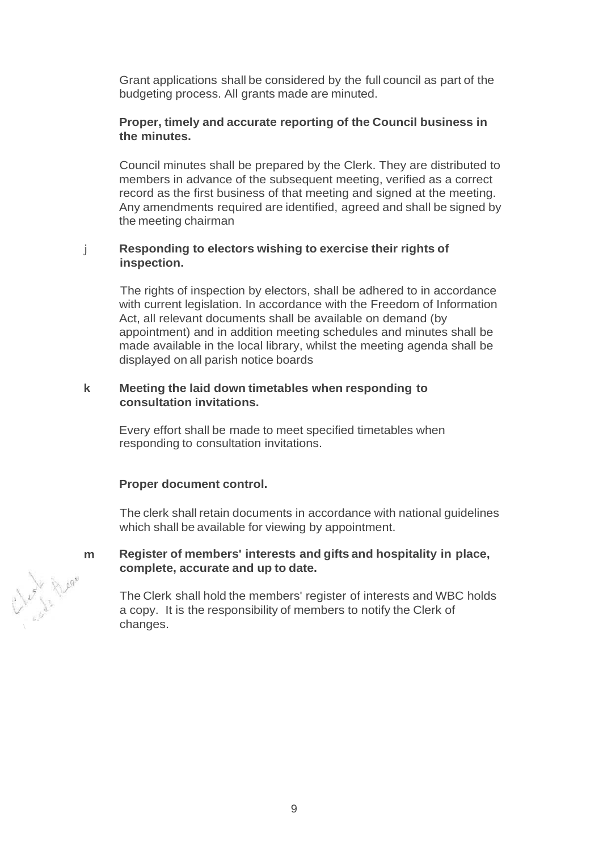Grant applications shall be considered by the full council as part of the budgeting process. All grants made are minuted.

#### **Proper, timely and accurate reporting of the Council business in the minutes.**

Council minutes shall be prepared by the Clerk. They are distributed to members in advance of the subsequent meeting, verified as a correct record as the first business of that meeting and signed at the meeting. Any amendments required are identified, agreed and shall be signed by the meeting chairman

#### j **Responding to electors wishing to exercise their rights of inspection.**

The rights of inspection by electors, shall be adhered to in accordance with current legislation. In accordance with the Freedom of Information Act, all relevant documents shall be available on demand (by appointment) and in addition meeting schedules and minutes shall be made available in the local library, whilst the meeting agenda shall be displayed on all parish notice boards

#### **k Meeting the laid down timetables when responding to consultation invitations.**

Every effort shall be made to meet specified timetables when responding to consultation invitations.

#### **Proper document control.**

The clerk shall retain documents in accordance with national guidelines which shall be available for viewing by appointment.

## **m Register of members' interests and gifts and hospitality in place, complete, accurate and up to date.**

The Clerk shall hold the members' register of interests and WBC holds a copy. It is the responsibility of members to notify the Clerk of

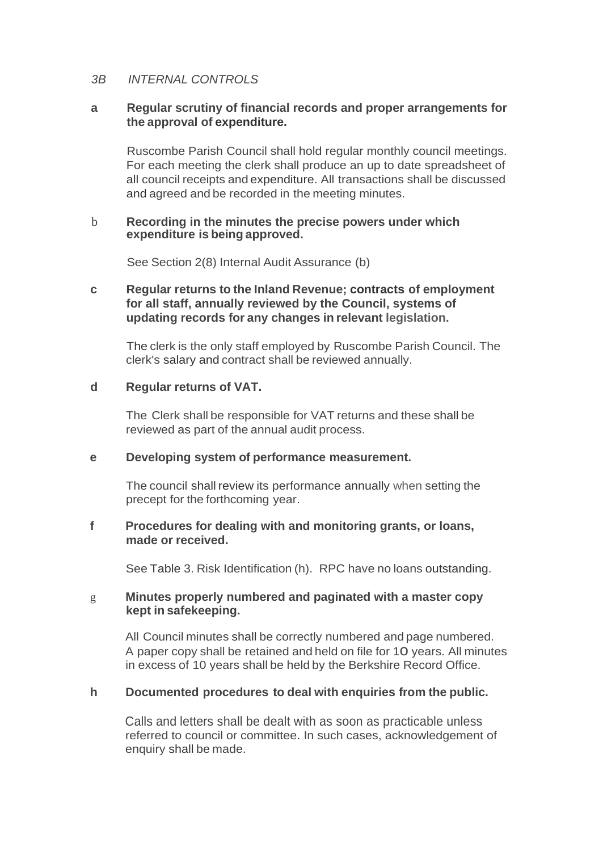## *3B INTERNAL CONTROLS*

### **a Regular scrutiny of financial records and proper arrangements for the approval of expenditure.**

Ruscombe Parish Council shall hold regular monthly council meetings. For each meeting the clerk shall produce an up to date spreadsheet of all council receipts and expenditure. All transactions shall be discussed and agreed and be recorded in the meeting minutes.

#### b **Recording in the minutes the precise powers under which expenditure is being approved.**

See Section 2(8) Internal Audit Assurance (b)

## **c Regular returns to the Inland Revenue; contracts of employment for all staff, annually reviewed by the Council, systems of updating records for any changes in relevant legislation.**

The clerk is the only staff employed by Ruscombe Parish Council. The clerk's salary and contract shall be reviewed annually.

#### **d Regular returns of VAT.**

The Clerk shall be responsible for VAT returns and these shall be reviewed as part of the annual audit process.

#### **e Developing system of performance measurement.**

The council shall review its performance annually when setting the precept for the forthcoming year.

#### **f Procedures for dealing with and monitoring grants, or loans, made or received.**

See Table 3. Risk Identification (h). RPC have no loans outstanding.

## g **Minutes properly numbered and paginated with a master copy kept in safekeeping.**

All Council minutes shall be correctly numbered and page numbered. A paper copy shall be retained and held on file for 10 years. All minutes in excess of 10 years shall be held by the Berkshire Record Office.

## **h Documented procedures to deal with enquiries from the public.**

Calls and letters shall be dealt with as soon as practicable unless referred to council or committee. In such cases, acknowledgement of enquiry shall be made.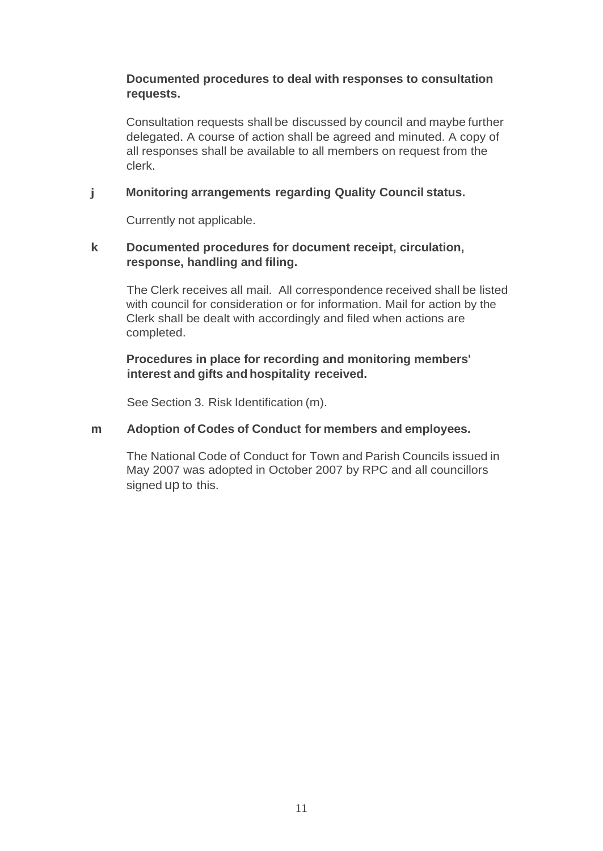## **Documented procedures to deal with responses to consultation requests.**

Consultation requests shall be discussed by council and maybe further delegated. A course of action shall be agreed and minuted. A copy of all responses shall be available to all members on request from the clerk.

# **j Monitoring arrangements regarding Quality Council status.**

Currently not applicable.

## **k Documented procedures for document receipt, circulation, response, handling and filing.**

The Clerk receives all mail. All correspondence received shall be listed with council for consideration or for information. Mail for action by the Clerk shall be dealt with accordingly and filed when actions are completed.

## **Procedures in place for recording and monitoring members' interest and gifts and hospitality received.**

See Section 3. Risk Identification (m).

## **m Adoption of Codes of Conduct for members and employees.**

The National Code of Conduct for Town and Parish Councils issued in May 2007 was adopted in October 2007 by RPC and all councillors signed up to this.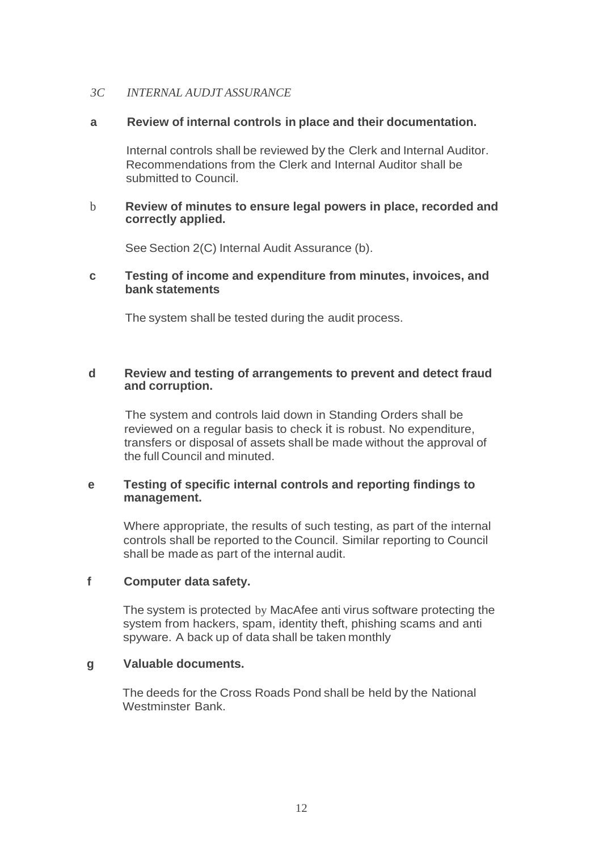#### *3C INTERNAL AUDJT ASSURANCE*

#### **a Review of internal controls in place and their documentation.**

Internal controls shall be reviewed by the Clerk and Internal Auditor. Recommendations from the Clerk and Internal Auditor shall be submitted to Council.

#### b **Review of minutes to ensure legal powers in place, recorded and correctly applied.**

See Section 2(C) Internal Audit Assurance (b).

#### **c Testing of income and expenditure from minutes, invoices, and bank statements**

The system shall be tested during the audit process.

#### **d Review and testing of arrangements to prevent and detect fraud and corruption.**

The system and controls laid down in Standing Orders shall be reviewed on a regular basis to check it is robust. No expenditure, transfers or disposal of assets shall be made without the approval of the full Council and minuted.

### **e Testing of specific internal controls and reporting findings to management.**

Where appropriate, the results of such testing, as part of the internal controls shall be reported to the Council. Similar reporting to Council shall be made as part of the internal audit.

#### **f Computer data safety.**

The system is protected by MacAfee anti virus software protecting the system from hackers, spam, identity theft, phishing scams and anti spyware. A back up of data shall be taken monthly

#### **g Valuable documents.**

The deeds for the Cross Roads Pond shall be held by the National Westminster Bank.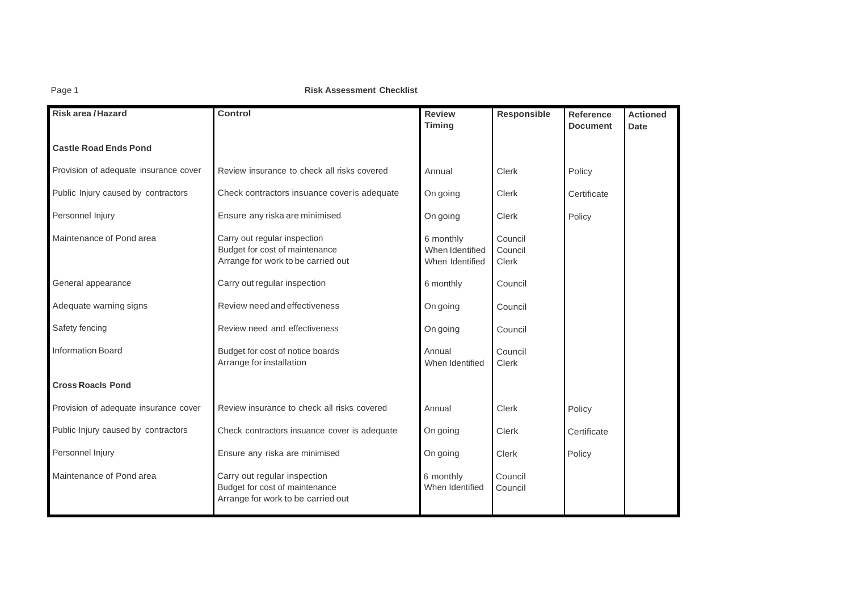#### **Page 1 Risk Assessment Checklist**

| Risk area / Hazard                    | Control                                                                                              | <b>Review</b><br><b>Timing</b>                  | Responsible                        | Reference<br><b>Document</b> | <b>Actioned</b><br><b>Date</b> |
|---------------------------------------|------------------------------------------------------------------------------------------------------|-------------------------------------------------|------------------------------------|------------------------------|--------------------------------|
| <b>Castle Road Ends Pond</b>          |                                                                                                      |                                                 |                                    |                              |                                |
| Provision of adequate insurance cover | Review insurance to check all risks covered                                                          | Annual                                          | <b>Clerk</b>                       | Policy                       |                                |
| Public Injury caused by contractors   | Check contractors insuance cover is adequate                                                         | On going                                        | Clerk                              | Certificate                  |                                |
| Personnel Injury                      | Ensure any riska are minimised                                                                       | On going                                        | <b>Clerk</b>                       | Policy                       |                                |
| Maintenance of Pond area              | Carry out regular inspection<br>Budget for cost of maintenance<br>Arrange for work to be carried out | 6 monthly<br>When Identified<br>When Identified | Council<br>Council<br><b>Clerk</b> |                              |                                |
| General appearance                    | Carry out regular inspection                                                                         | 6 monthly                                       | Council                            |                              |                                |
| Adequate warning signs                | Review need and effectiveness                                                                        | On going                                        | Council                            |                              |                                |
| Safety fencing                        | Review need and effectiveness                                                                        | On going                                        | Council                            |                              |                                |
| <b>Information Board</b>              | Budget for cost of notice boards<br>Arrange for installation                                         | Annual<br>When Identified                       | Council<br><b>Clerk</b>            |                              |                                |
| <b>Cross Roacls Pond</b>              |                                                                                                      |                                                 |                                    |                              |                                |
| Provision of adequate insurance cover | Review insurance to check all risks covered                                                          | Annual                                          | <b>Clerk</b>                       | Policy                       |                                |
| Public Injury caused by contractors   | Check contractors insuance cover is adequate                                                         | On going                                        | <b>Clerk</b>                       | Certificate                  |                                |
| Personnel Injury                      | Ensure any riska are minimised                                                                       | On going                                        | Clerk                              | Policy                       |                                |
| Maintenance of Pond area              | Carry out regular inspection<br>Budget for cost of maintenance<br>Arrange for work to be carried out | 6 monthly<br>When Identified                    | Council<br>Council                 |                              |                                |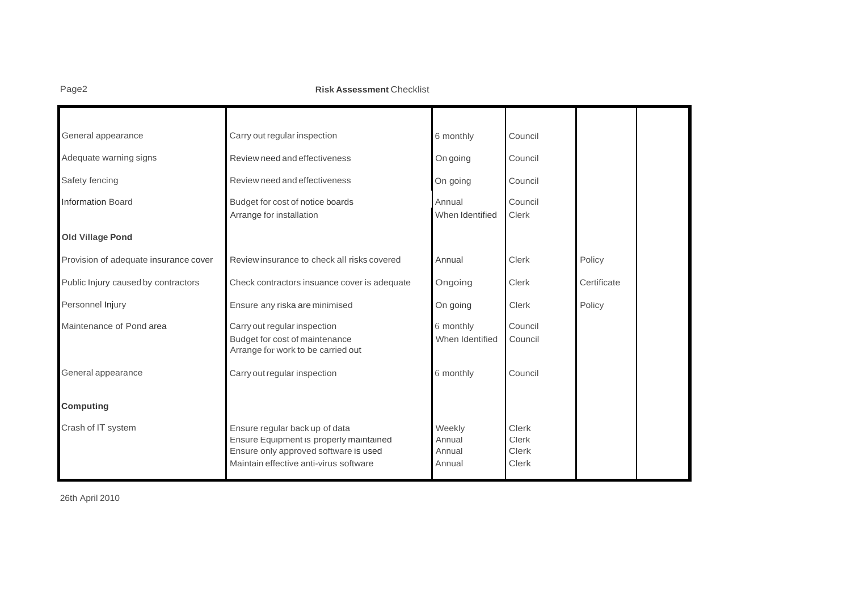Page2 **Risk Assessment** Checklist

| General appearance                    | Carry out regular inspection                                                                                                                                 | 6 monthly                            | Council                                               |             |
|---------------------------------------|--------------------------------------------------------------------------------------------------------------------------------------------------------------|--------------------------------------|-------------------------------------------------------|-------------|
| Adequate warning signs                | Review need and effectiveness                                                                                                                                | On going                             | Council                                               |             |
| Safety fencing                        | Review need and effectiveness                                                                                                                                | On going                             | Council                                               |             |
| <b>Information Board</b>              | Budget for cost of notice boards<br>Arrange for installation                                                                                                 | Annual<br>When Identified            | Council<br><b>Clerk</b>                               |             |
| <b>Old Village Pond</b>               |                                                                                                                                                              |                                      |                                                       |             |
| Provision of adequate insurance cover | Review insurance to check all risks covered                                                                                                                  | Annual                               | Clerk                                                 | Policy      |
| Public Injury caused by contractors   | Check contractors insuance cover is adequate                                                                                                                 | Ongoing                              | <b>Clerk</b>                                          | Certificate |
| Personnel Injury                      | Ensure any riska are minimised                                                                                                                               | On going                             | Clerk                                                 | Policy      |
| Maintenance of Pond area              | Carry out regular inspection<br>Budget for cost of maintenance<br>Arrange for work to be carried out                                                         | 6 monthly<br>When Identified         | Council<br>Council                                    |             |
| General appearance                    | Carry out regular inspection                                                                                                                                 | 6 monthly                            | Council                                               |             |
| <b>Computing</b>                      |                                                                                                                                                              |                                      |                                                       |             |
| Crash of IT system                    | Ensure regular back up of data<br>Ensure Equipment is properly maintained<br>Ensure only approved software is used<br>Maintain effective anti-virus software | Weekly<br>Annual<br>Annual<br>Annual | <b>Clerk</b><br><b>Clerk</b><br><b>Clerk</b><br>Clerk |             |

26th April 2010